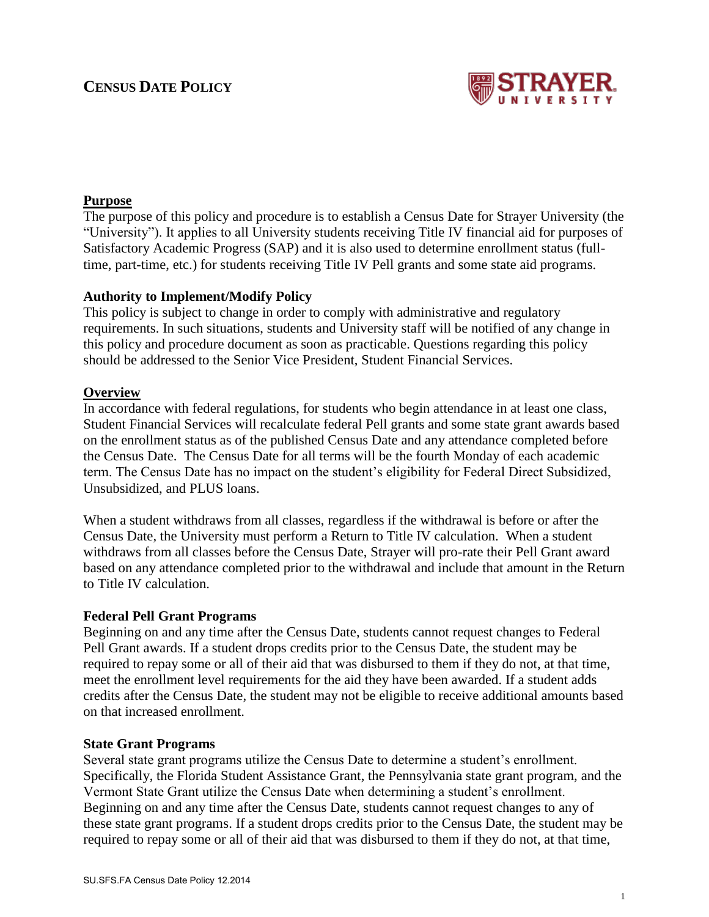# **CENSUS DATE POLICY**



## **Purpose**

The purpose of this policy and procedure is to establish a Census Date for Strayer University (the "University"). It applies to all University students receiving Title IV financial aid for purposes of Satisfactory Academic Progress (SAP) and it is also used to determine enrollment status (fulltime, part-time, etc.) for students receiving Title IV Pell grants and some state aid programs.

## **Authority to Implement/Modify Policy**

This policy is subject to change in order to comply with administrative and regulatory requirements. In such situations, students and University staff will be notified of any change in this policy and procedure document as soon as practicable. Questions regarding this policy should be addressed to the Senior Vice President, Student Financial Services.

#### **Overview**

In accordance with federal regulations, for students who begin attendance in at least one class, Student Financial Services will recalculate federal Pell grants and some state grant awards based on the enrollment status as of the published Census Date and any attendance completed before the Census Date. The Census Date for all terms will be the fourth Monday of each academic term. The Census Date has no impact on the student's eligibility for Federal Direct Subsidized, Unsubsidized, and PLUS loans.

When a student withdraws from all classes, regardless if the withdrawal is before or after the Census Date, the University must perform a Return to Title IV calculation. When a student withdraws from all classes before the Census Date, Strayer will pro-rate their Pell Grant award based on any attendance completed prior to the withdrawal and include that amount in the Return to Title IV calculation.

#### **Federal Pell Grant Programs**

Beginning on and any time after the Census Date, students cannot request changes to Federal Pell Grant awards. If a student drops credits prior to the Census Date, the student may be required to repay some or all of their aid that was disbursed to them if they do not, at that time, meet the enrollment level requirements for the aid they have been awarded. If a student adds credits after the Census Date, the student may not be eligible to receive additional amounts based on that increased enrollment.

#### **State Grant Programs**

Several state grant programs utilize the Census Date to determine a student's enrollment. Specifically, the Florida Student Assistance Grant, the Pennsylvania state grant program, and the Vermont State Grant utilize the Census Date when determining a student's enrollment. Beginning on and any time after the Census Date, students cannot request changes to any of these state grant programs. If a student drops credits prior to the Census Date, the student may be required to repay some or all of their aid that was disbursed to them if they do not, at that time,